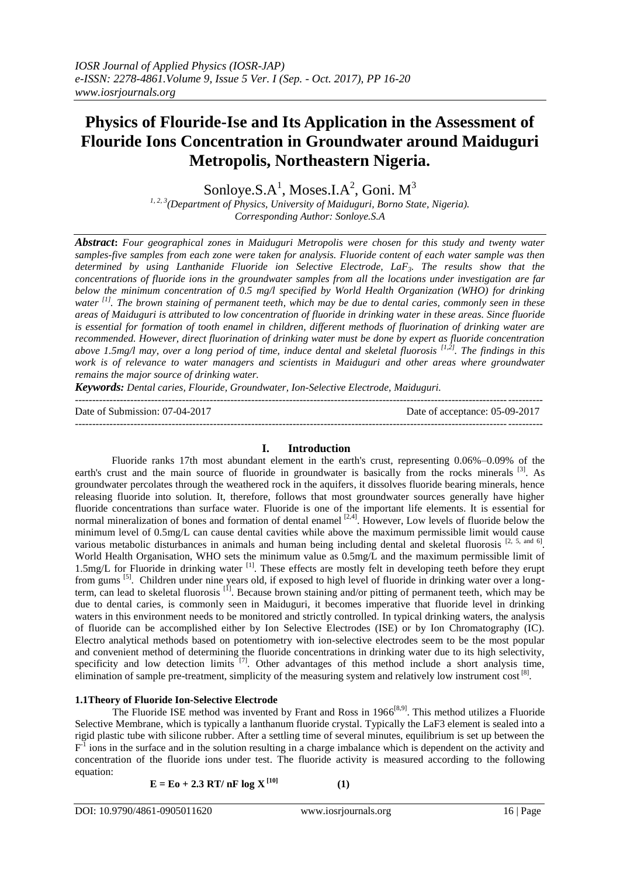# **Physics of Flouride-Ise and Its Application in the Assessment of Flouride Ions Concentration in Groundwater around Maiduguri Metropolis, Northeastern Nigeria.**

Sonloye.S. $A^1$ , Moses.I. $A^2$ , Goni.  $M^3$ 

*1, 2, 3(Department of Physics, University of Maiduguri, Borno State, Nigeria). Corresponding Author: Sonloye.S.A*

*Abstract***:** *Four geographical zones in Maiduguri Metropolis were chosen for this study and twenty water samples-five samples from each zone were taken for analysis. Fluoride content of each water sample was then determined by using Lanthanide Fluoride ion Selective Electrode, LaF3. The results show that the concentrations of fluoride ions in the groundwater samples from all the locations under investigation are far below the minimum concentration of 0.5 mg/l specified by World Health Organization (WHO) for drinking water [1] . The brown staining of permanent teeth, which may be due to dental caries, commonly seen in these areas of Maiduguri is attributed to low concentration of fluoride in drinking water in these areas. Since fluoride is essential for formation of tooth enamel in children, different methods of fluorination of drinking water are recommended. However, direct fluorination of drinking water must be done by expert as fluoride concentration above 1.5mg/l may, over a long period of time, induce dental and skeletal fluorosis [1,2] . The findings in this work is of relevance to water managers and scientists in Maiduguri and other areas where groundwater remains the major source of drinking water.*

*Keywords: Dental caries, Flouride, Groundwater, Ion-Selective Electrode, Maiduguri.*

Date of Submission: 07-04-2017 Date of acceptance: 05-09-2017

---------------------------------------------------------------------------------------------------------------------------------------

## **I. Introduction**

Fluoride ranks 17th most abundant element in the earth's crust, representing 0.06%–0.09% of the earth's crust and the main source of fluoride in groundwater is basically from the rocks minerals <sup>[3]</sup>. As groundwater percolates through the weathered rock in the aquifers, it dissolves fluoride bearing minerals, hence releasing fluoride into solution. It, therefore, follows that most groundwater sources generally have higher fluoride concentrations than surface water. Fluoride is one of the important life elements. It is essential for normal mineralization of bones and formation of dental enamel  $[2,4]$ . However, Low levels of fluoride below the minimum level of 0.5mg/L can cause dental cavities while above the maximum permissible limit would cause various metabolic disturbances in animals and human being including dental and skeletal fluorosis  $[2, 5, \text{ and } 6]$ . World Health Organisation, WHO sets the minimum value as 0.5mg/L and the maximum permissible limit of 1.5mg/L for Fluoride in drinking water <sup>[1]</sup>. These effects are mostly felt in developing teeth before they erupt from gums <sup>[5]</sup>. Children under nine years old, if exposed to high level of fluoride in drinking water over a longterm, can lead to skeletal fluorosis<sup>[1]</sup>. Because brown staining and/or pitting of permanent teeth, which may be due to dental caries, is commonly seen in Maiduguri, it becomes imperative that fluoride level in drinking waters in this environment needs to be monitored and strictly controlled. In typical drinking waters, the analysis of fluoride can be accomplished either by Ion Selective Electrodes (ISE) or by Ion Chromatography (IC). Electro analytical methods based on potentiometry with ion-selective electrodes seem to be the most popular and convenient method of determining the fluoride concentrations in drinking water due to its high selectivity, specificity and low detection limits <sup>[7]</sup>. Other advantages of this method include a short analysis time, elimination of sample pre-treatment, simplicity of the measuring system and relatively low instrument cost [8].

## **1.1Theory of Fluoride Ion-Selective Electrode**

The Fluoride ISE method was invented by Frant and Ross in 1966<sup>[8,9]</sup>. This method utilizes a Fluoride Selective Membrane, which is typically a lanthanum fluoride crystal. Typically the LaF3 element is sealed into a rigid plastic tube with silicone rubber. After a settling time of several minutes, equilibrium is set up between the  $F<sup>1</sup>$  ions in the surface and in the solution resulting in a charge imbalance which is dependent on the activity and concentration of the fluoride ions under test. The fluoride activity is measured according to the following equation:

 $E = E_0 + 2.3$  RT/ nF  $log X^{[10]}$ 

**(1)**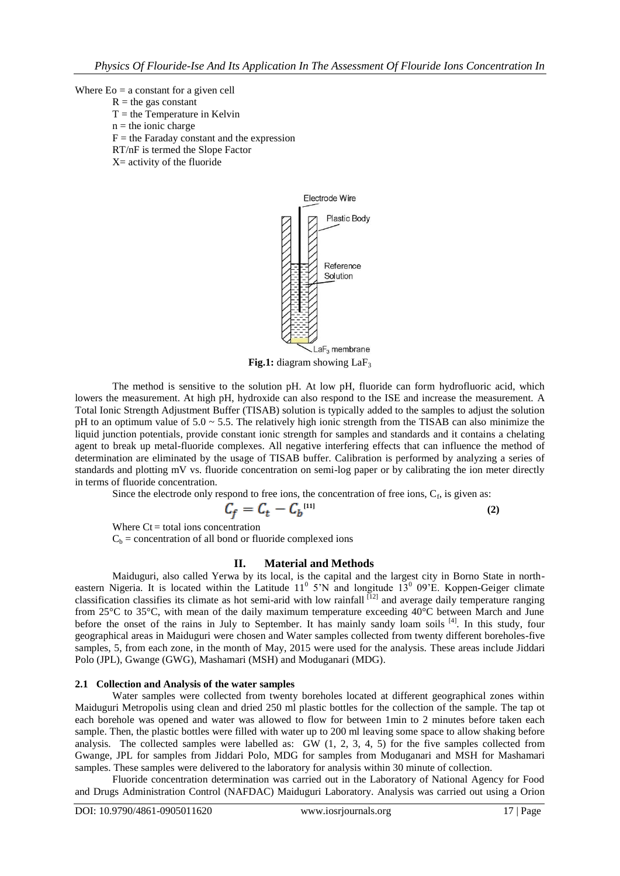#### Where  $E_0 = a$  constant for a given cell

- $R =$  the gas constant
	- $T =$  the Temperature in Kelvin
	- $n =$  the ionic charge
	- $F =$  the Faraday constant and the expression
	- RT/nF is termed the Slope Factor
	- X= activity of the fluoride



**Fig.1:** diagram showing LaF<sub>3</sub>

The method is sensitive to the solution pH. At low pH, fluoride can form hydrofluoric acid, which lowers the measurement. At high pH, hydroxide can also respond to the ISE and increase the measurement. A Total Ionic Strength Adjustment Buffer (TISAB) solution is typically added to the samples to adjust the solution pH to an optimum value of 5.0 ~ 5.5. The relatively high ionic strength from the TISAB can also minimize the liquid junction potentials, provide constant ionic strength for samples and standards and it contains a chelating agent to break up metal-fluoride complexes. All negative interfering effects that can influence the method of determination are eliminated by the usage of TISAB buffer. Calibration is performed by analyzing a series of standards and plotting mV vs. fluoride concentration on semi-log paper or by calibrating the ion meter directly in terms of fluoride concentration.

Since the electrode only respond to free ions, the concentration of free ions,  $C_f$ , is given as:

$$
C_f = C_t - C_b^{(11)} \tag{2}
$$

Where  $Ct =$  total ions concentration  $C_b$  = concentration of all bond or fluoride complexed ions

### **II. Material and Methods**

Maiduguri, also called Yerwa by its local, is the capital and the largest city in Borno State in northeastern Nigeria. It is located within the Latitude  $11^0$  5'N and longitude  $13^0$  09'E. Koppen-Geiger climate classification classifies its climate as hot semi-arid with low rainfall <sup>[12]</sup> and average daily temperature ranging from 25°C to 35°C, with mean of the daily maximum temperature exceeding 40°C between March and June before the onset of the rains in July to September. It has mainly sandy loam soils <sup>[4]</sup>. In this study, four geographical areas in Maiduguri were chosen and Water samples collected from twenty different boreholes-five samples, 5, from each zone, in the month of May, 2015 were used for the analysis. These areas include Jiddari Polo (JPL), Gwange (GWG), Mashamari (MSH) and Moduganari (MDG).

### **2.1 Collection and Analysis of the water samples**

Water samples were collected from twenty boreholes located at different geographical zones within Maiduguri Metropolis using clean and dried 250 ml plastic bottles for the collection of the sample. The tap ot each borehole was opened and water was allowed to flow for between 1min to 2 minutes before taken each sample. Then, the plastic bottles were filled with water up to 200 ml leaving some space to allow shaking before analysis. The collected samples were labelled as: GW (1, 2, 3, 4, 5) for the five samples collected from Gwange, JPL for samples from Jiddari Polo, MDG for samples from Moduganari and MSH for Mashamari samples. These samples were delivered to the laboratory for analysis within 30 minute of collection.

Fluoride concentration determination was carried out in the Laboratory of National Agency for Food and Drugs Administration Control (NAFDAC) Maiduguri Laboratory. Analysis was carried out using a Orion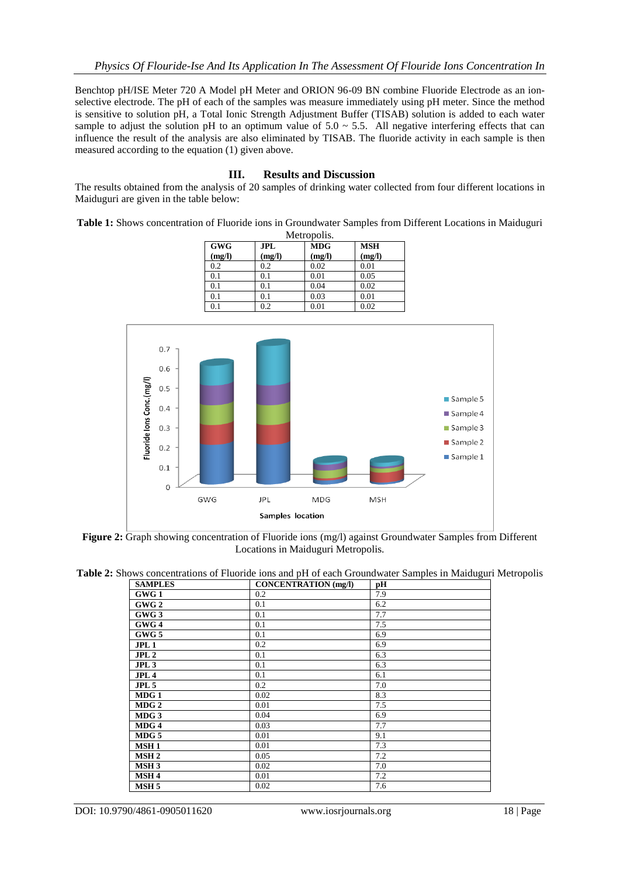Benchtop pH/ISE Meter 720 A Model pH Meter and ORION 96-09 BN combine Fluoride Electrode as an ionselective electrode. The pH of each of the samples was measure immediately using pH meter. Since the method is sensitive to solution pH, a Total Ionic Strength Adjustment Buffer (TISAB) solution is added to each water sample to adjust the solution pH to an optimum value of  $5.0 \sim 5.5$ . All negative interfering effects that can influence the result of the analysis are also eliminated by TISAB. The fluoride activity in each sample is then measured according to the equation (1) given above.

## **III. Results and Discussion**

The results obtained from the analysis of 20 samples of drinking water collected from four different locations in Maiduguri are given in the table below:

**Table 1:** Shows concentration of Fluoride ions in Groundwater Samples from Different Locations in Maiduguri

| Metropolis. |            |            |            |  |
|-------------|------------|------------|------------|--|
| <b>GWG</b>  | <b>JPL</b> | <b>MDG</b> | <b>MSH</b> |  |
| (mg/l)      | (mg/l)     | (mg/l)     | (mg/l)     |  |
| 0.2         | 0.2        | 0.02       | 0.01       |  |
| 0.1         | 0.1        | 0.01       | 0.05       |  |
| 0.1         | 0.1        | 0.04       | 0.02       |  |
| 0.1         | 0.1        | 0.03       | 0.01       |  |
| 0.1         | 0.2        | 0.01       | 0.02       |  |



**Figure 2:** Graph showing concentration of Fluoride ions (mg/l) against Groundwater Samples from Different Locations in Maiduguri Metropolis.

**Table 2:** Shows concentrations of Fluoride ions and pH of each Groundwater Samples in Maiduguri Metropolis

| <b>SAMPLES</b>   | <b>CONCENTRATION</b> (mg/l) | рH  |
|------------------|-----------------------------|-----|
| GWG 1            | 0.2                         | 7.9 |
| GWG <sub>2</sub> | 0.1                         | 6.2 |
| GWG 3            | 0.1                         | 7.7 |
| GWG 4            | 0.1                         | 7.5 |
| GWG 5            | 0.1                         | 6.9 |
| JPL <sub>1</sub> | 0.2                         | 6.9 |
| JPL2             | 0.1                         | 6.3 |
| JPL3             | 0.1                         | 6.3 |
| JPL4             | 0.1                         | 6.1 |
| JPL <sub>5</sub> | 0.2                         | 7.0 |
| MDG <sub>1</sub> | 0.02                        | 8.3 |
| MDG <sub>2</sub> | 0.01                        | 7.5 |
| MDG 3            | 0.04                        | 6.9 |
| MDG4             | 0.03                        | 7.7 |
| $MDG$ 5          | 0.01                        | 9.1 |
| <b>MSH1</b>      | 0.01                        | 7.3 |
| MSH <sub>2</sub> | 0.05                        | 7.2 |
| <b>MSH3</b>      | 0.02                        | 7.0 |
| MSH <sub>4</sub> | 0.01                        | 7.2 |
| MSH <sub>5</sub> | 0.02                        | 7.6 |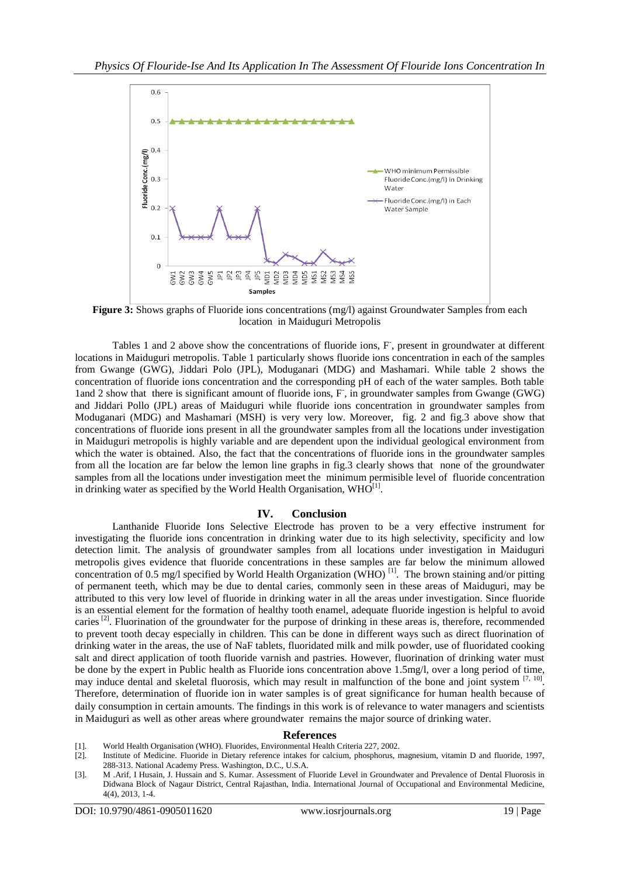

**Figure 3:** Shows graphs of Fluoride ions concentrations (mg/l) against Groundwater Samples from each location in Maiduguri Metropolis

Tables 1 and 2 above show the concentrations of fluoride ions, F, present in groundwater at different locations in Maiduguri metropolis. Table 1 particularly shows fluoride ions concentration in each of the samples from Gwange (GWG), Jiddari Polo (JPL), Moduganari (MDG) and Mashamari. While table 2 shows the concentration of fluoride ions concentration and the corresponding pH of each of the water samples. Both table 1and 2 show that there is significant amount of fluoride ions, F- , in groundwater samples from Gwange (GWG) and Jiddari Pollo (JPL) areas of Maiduguri while fluoride ions concentration in groundwater samples from Moduganari (MDG) and Mashamari (MSH) is very very low. Moreover, fig. 2 and fig.3 above show that concentrations of fluoride ions present in all the groundwater samples from all the locations under investigation in Maiduguri metropolis is highly variable and are dependent upon the individual geological environment from which the water is obtained. Also, the fact that the concentrations of fluoride ions in the groundwater samples from all the location are far below the lemon line graphs in fig.3 clearly shows that none of the groundwater samples from all the locations under investigation meet the minimum permisible level of fluoride concentration in drinking water as specified by the World Health Organisation,  $WHO^{[1]}$ .

### **IV. Conclusion**

Lanthanide Fluoride Ions Selective Electrode has proven to be a very effective instrument for investigating the fluoride ions concentration in drinking water due to its high selectivity, specificity and low detection limit. The analysis of groundwater samples from all locations under investigation in Maiduguri metropolis gives evidence that fluoride concentrations in these samples are far below the minimum allowed concentration of 0.5 mg/l specified by World Health Organization (WHO)<sup>[1]</sup>. The brown staining and/or pitting of permanent teeth, which may be due to dental caries, commonly seen in these areas of Maiduguri, may be attributed to this very low level of fluoride in drinking water in all the areas under investigation. Since fluoride is an essential element for the formation of healthy tooth enamel, adequate fluoride ingestion is helpful to avoid caries<sup>[2]</sup>. Fluorination of the groundwater for the purpose of drinking in these areas is, therefore, recommended to prevent tooth decay especially in children. This can be done in different ways such as direct fluorination of drinking water in the areas, the use of NaF tablets, fluoridated milk and milk powder, use of fluoridated cooking salt and direct application of tooth fluoride varnish and pastries. However, fluorination of drinking water must be done by the expert in Public health as Fluoride ions concentration above 1.5mg/l, over a long period of time, may induce dental and skeletal fluorosis, which may result in malfunction of the bone and joint system  $[7, 10]$ . Therefore, determination of fluoride ion in water samples is of great significance for human health because of daily consumption in certain amounts. The findings in this work is of relevance to water managers and scientists in Maiduguri as well as other areas where groundwater remains the major source of drinking water.

#### **References**

- [1]. World Health Organisation (WHO). Fluorides, Environmental Health Criteria 227, 2002.
- Institute of Medicine. Fluoride in Dietary reference intakes for calcium, phosphorus, magnesium, vitamin D and fluoride, 1997, 288-313. National Academy Press. Washington, D.C., U.S.A.
- [3]. M .Arif, I Husain, J. Hussain and S. Kumar. Assessment of Fluoride Level in Groundwater and Prevalence of Dental Fluorosis in Didwana Block of Nagaur District, Central Rajasthan, India. International Journal of Occupational and Environmental Medicine, 4(4), 2013, 1-4.